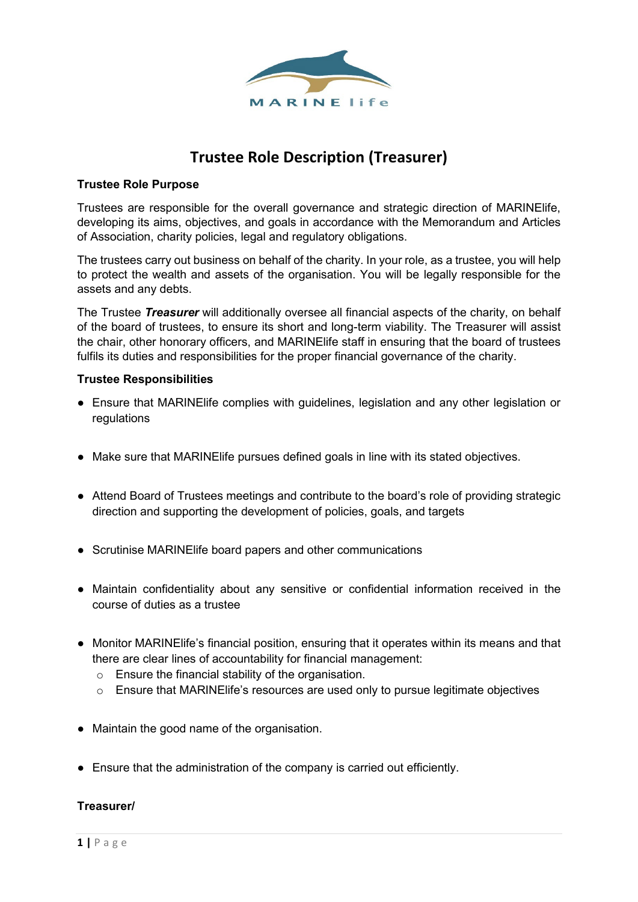

### **Trustee Role Description (Treasurer)**

#### **Trustee Role Purpose**

Trustees are responsible for the overall governance and strategic direction of MARINElife, developing its aims, objectives, and goals in accordance with the Memorandum and Articles of Association, charity policies, legal and regulatory obligations.

The trustees carry out business on behalf of the charity. In your role, as a trustee, you will help to protect the wealth and assets of the organisation. You will be legally responsible for the assets and any debts.

The Trustee *Treasurer* will additionally oversee all financial aspects of the charity, on behalf of the board of trustees, to ensure its short and long-term viability. The Treasurer will assist the chair, other honorary officers, and MARINElife staff in ensuring that the board of trustees fulfils its duties and responsibilities for the proper financial governance of the charity.

#### **Trustee Responsibilities**

- Ensure that MARINElife complies with guidelines, legislation and any other legislation or regulations
- Make sure that MARINElife pursues defined goals in line with its stated objectives.
- Attend Board of Trustees meetings and contribute to the board's role of providing strategic direction and supporting the development of policies, goals, and targets
- Scrutinise MARINElife board papers and other communications
- Maintain confidentiality about any sensitive or confidential information received in the course of duties as a trustee
- Monitor MARINE life's financial position, ensuring that it operates within its means and that there are clear lines of accountability for financial management:
	- o Ensure the financial stability of the organisation.
	- o Ensure that MARINElife's resources are used only to pursue legitimate objectives
- Maintain the good name of the organisation.
- Ensure that the administration of the company is carried out efficiently.

#### **Treasurer/**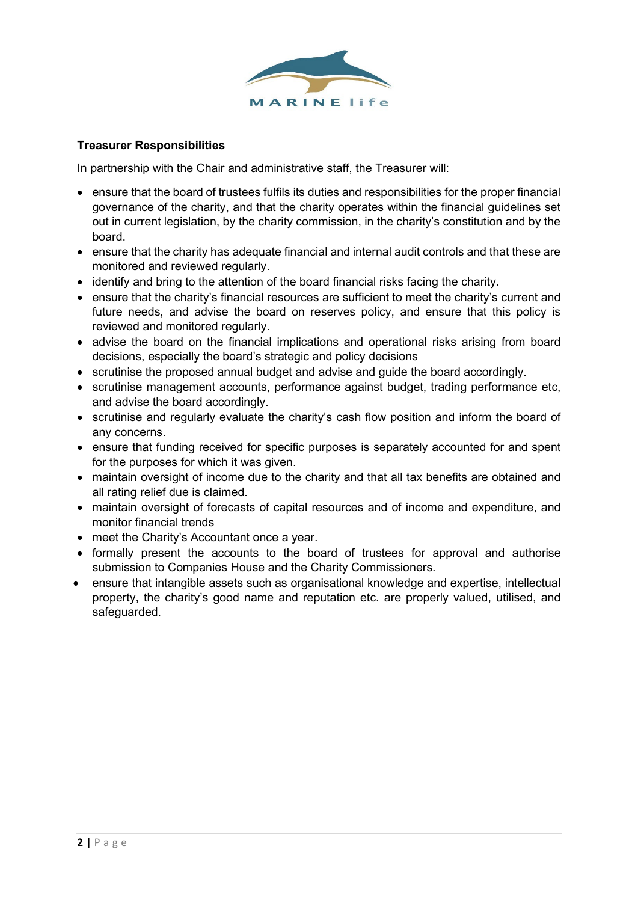

#### **Treasurer Responsibilities**

In partnership with the Chair and administrative staff, the Treasurer will:

- ensure that the board of trustees fulfils its duties and responsibilities for the proper financial governance of the charity, and that the charity operates within the financial guidelines set out in current legislation, by the charity commission, in the charity's constitution and by the board.
- ensure that the charity has adequate financial and internal audit controls and that these are monitored and reviewed regularly.
- identify and bring to the attention of the board financial risks facing the charity.
- ensure that the charity's financial resources are sufficient to meet the charity's current and future needs, and advise the board on reserves policy, and ensure that this policy is reviewed and monitored regularly.
- advise the board on the financial implications and operational risks arising from board decisions, especially the board's strategic and policy decisions
- scrutinise the proposed annual budget and advise and guide the board accordingly.
- scrutinise management accounts, performance against budget, trading performance etc, and advise the board accordingly.
- scrutinise and regularly evaluate the charity's cash flow position and inform the board of any concerns.
- ensure that funding received for specific purposes is separately accounted for and spent for the purposes for which it was given.
- maintain oversight of income due to the charity and that all tax benefits are obtained and all rating relief due is claimed.
- maintain oversight of forecasts of capital resources and of income and expenditure, and monitor financial trends
- meet the Charity's Accountant once a year.
- formally present the accounts to the board of trustees for approval and authorise submission to Companies House and the Charity Commissioners.
- ensure that intangible assets such as organisational knowledge and expertise, intellectual property, the charity's good name and reputation etc. are properly valued, utilised, and safeguarded.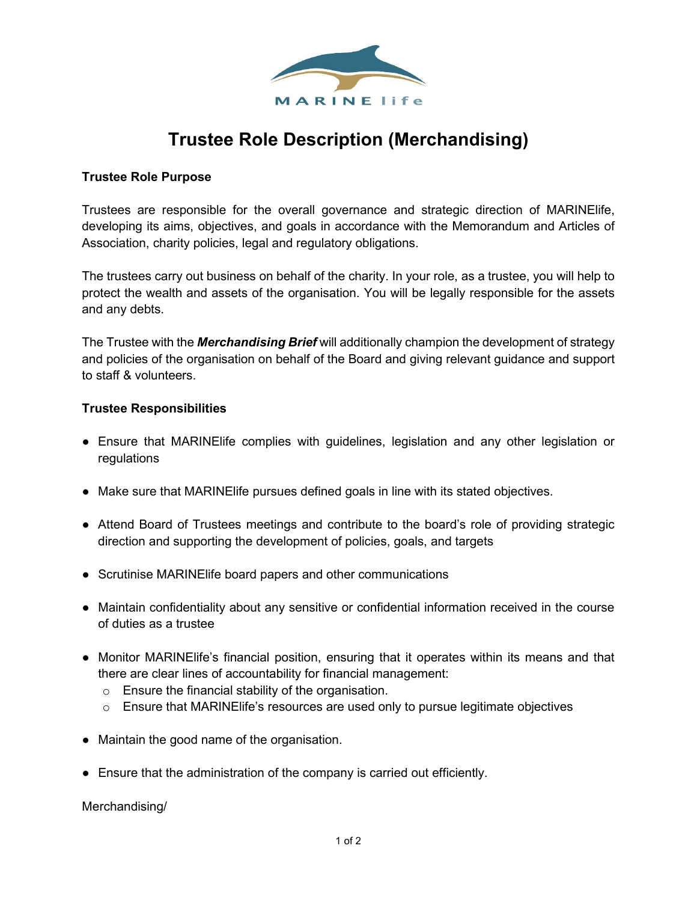

# **Trustee Role Description (Merchandising)**

#### **Trustee Role Purpose**

Trustees are responsible for the overall governance and strategic direction of MARINElife, developing its aims, objectives, and goals in accordance with the Memorandum and Articles of Association, charity policies, legal and regulatory obligations.

The trustees carry out business on behalf of the charity. In your role, as a trustee, you will help to protect the wealth and assets of the organisation. You will be legally responsible for the assets and any debts.

The Trustee with the *Merchandising Brief* will additionally champion the development of strategy and policies of the organisation on behalf of the Board and giving relevant guidance and support to staff & volunteers.

#### **Trustee Responsibilities**

- Ensure that MARINElife complies with quidelines, legislation and any other legislation or regulations
- Make sure that MARINElife pursues defined goals in line with its stated objectives.
- Attend Board of Trustees meetings and contribute to the board's role of providing strategic direction and supporting the development of policies, goals, and targets
- Scrutinise MARINElife board papers and other communications
- Maintain confidentiality about any sensitive or confidential information received in the course of duties as a trustee
- Monitor MARINElife's financial position, ensuring that it operates within its means and that there are clear lines of accountability for financial management:
	- o Ensure the financial stability of the organisation.
	- o Ensure that MARINElife's resources are used only to pursue legitimate objectives
- Maintain the good name of the organisation.
- Ensure that the administration of the company is carried out efficiently.

Merchandising/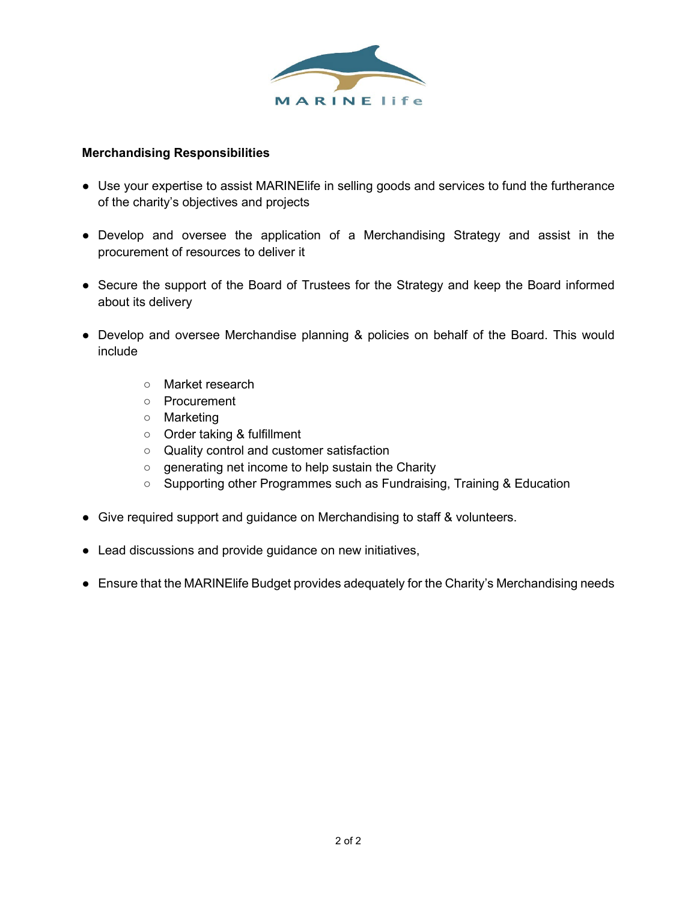

#### **Merchandising Responsibilities**

- Use your expertise to assist MARINElife in selling goods and services to fund the furtherance of the charity's objectives and projects
- Develop and oversee the application of a Merchandising Strategy and assist in the procurement of resources to deliver it
- Secure the support of the Board of Trustees for the Strategy and keep the Board informed about its delivery
- Develop and oversee Merchandise planning & policies on behalf of the Board. This would include
	- Market research
	- Procurement
	- Marketing
	- Order taking & fulfillment
	- Quality control and customer satisfaction
	- generating net income to help sustain the Charity
	- Supporting other Programmes such as Fundraising, Training & Education
- Give required support and quidance on Merchandising to staff & volunteers.
- Lead discussions and provide guidance on new initiatives,
- Ensure that the MARINE life Budget provides adequately for the Charity's Merchandising needs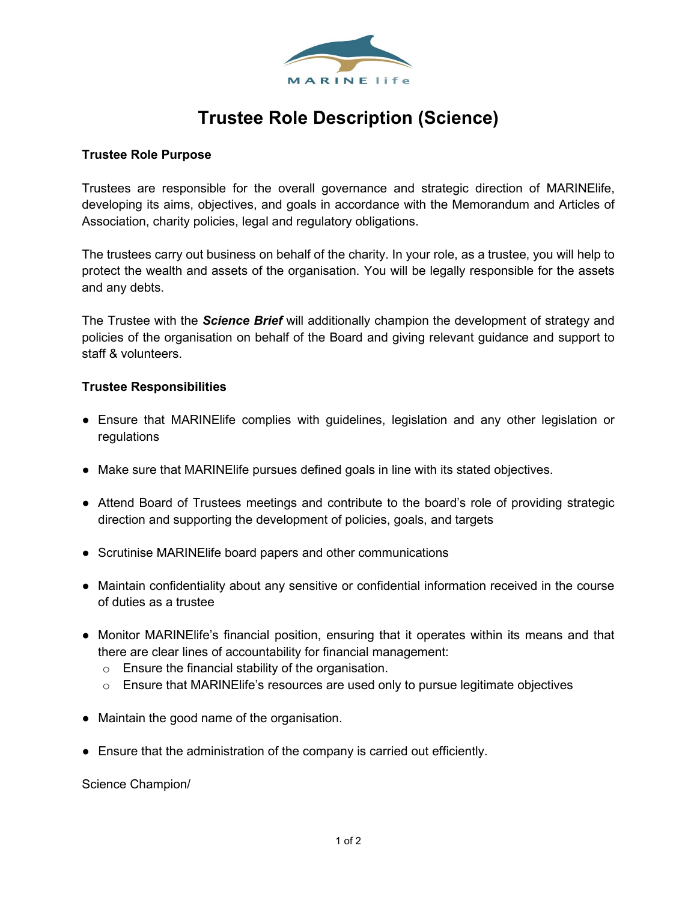

## **Trustee Role Description (Science)**

#### **Trustee Role Purpose**

Trustees are responsible for the overall governance and strategic direction of MARINElife, developing its aims, objectives, and goals in accordance with the Memorandum and Articles of Association, charity policies, legal and regulatory obligations.

The trustees carry out business on behalf of the charity. In your role, as a trustee, you will help to protect the wealth and assets of the organisation. You will be legally responsible for the assets and any debts.

The Trustee with the *Science Brief* will additionally champion the development of strategy and policies of the organisation on behalf of the Board and giving relevant guidance and support to staff & volunteers.

#### **Trustee Responsibilities**

- Ensure that MARINElife complies with guidelines, legislation and any other legislation or regulations
- Make sure that MARINElife pursues defined goals in line with its stated objectives.
- Attend Board of Trustees meetings and contribute to the board's role of providing strategic direction and supporting the development of policies, goals, and targets
- Scrutinise MARINElife board papers and other communications
- Maintain confidentiality about any sensitive or confidential information received in the course of duties as a trustee
- Monitor MARINE ife's financial position, ensuring that it operates within its means and that there are clear lines of accountability for financial management:
	- o Ensure the financial stability of the organisation.
	- $\circ$  Ensure that MARINElife's resources are used only to pursue legitimate objectives
- Maintain the good name of the organisation.
- Ensure that the administration of the company is carried out efficiently.

Science Champion/